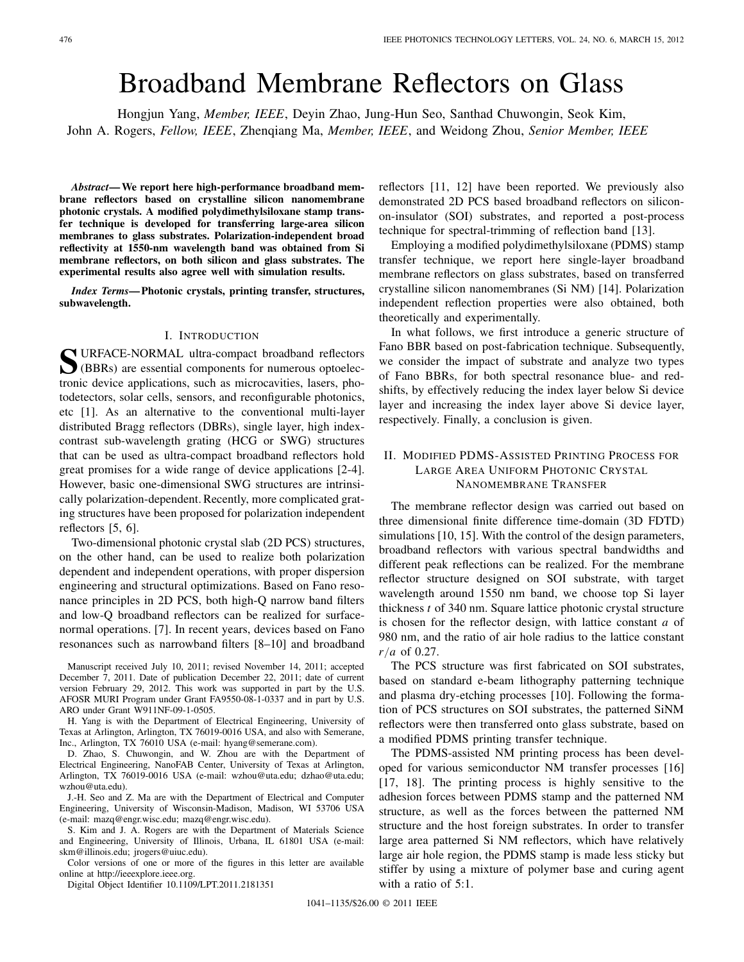# Broadband Membrane Reflectors on Glass

Hongjun Yang, *Member, IEEE*, Deyin Zhao, Jung-Hun Seo, Santhad Chuwongin, Seok Kim, John A. Rogers, *Fellow, IEEE*, Zhenqiang Ma, *Member, IEEE*, and Weidong Zhou, *Senior Member, IEEE*

*Abstract***— We report here high-performance broadband membrane reflectors based on crystalline silicon nanomembrane photonic crystals. A modified polydimethylsiloxane stamp transfer technique is developed for transferring large-area silicon membranes to glass substrates. Polarization-independent broad reflectivity at 1550-nm wavelength band was obtained from Si membrane reflectors, on both silicon and glass substrates. The experimental results also agree well with simulation results.**

*Index Terms***— Photonic crystals, printing transfer, structures, subwavelength.**

#### I. INTRODUCTION

**S**URFACE-NORMAL ultra-compact broadband reflectors (BBRs) are essential components for numerous optoelectronic device applications, such as microcavities, lasers, photodetectors, solar cells, sensors, and reconfigurable photonics, etc [1]. As an alternative to the conventional multi-layer distributed Bragg reflectors (DBRs), single layer, high indexcontrast sub-wavelength grating (HCG or SWG) structures that can be used as ultra-compact broadband reflectors hold great promises for a wide range of device applications [2-4]. However, basic one-dimensional SWG structures are intrinsically polarization-dependent. Recently, more complicated grating structures have been proposed for polarization independent reflectors [5, 6].

Two-dimensional photonic crystal slab (2D PCS) structures, on the other hand, can be used to realize both polarization dependent and independent operations, with proper dispersion engineering and structural optimizations. Based on Fano resonance principles in 2D PCS, both high-Q narrow band filters and low-Q broadband reflectors can be realized for surfacenormal operations. [7]. In recent years, devices based on Fano resonances such as narrowband filters [8–10] and broadband

J.-H. Seo and Z. Ma are with the Department of Electrical and Computer Engineering, University of Wisconsin-Madison, Madison, WI 53706 USA (e-mail: mazq@engr.wisc.edu; mazq@engr.wisc.edu).

S. Kim and J. A. Rogers are with the Department of Materials Science and Engineering, University of Illinois, Urbana, IL 61801 USA (e-mail: skm@illinois.edu; jrogers@uiuc.edu).

Color versions of one or more of the figures in this letter are available online at http://ieeexplore.ieee.org.

Digital Object Identifier 10.1109/LPT.2011.2181351

reflectors [11, 12] have been reported. We previously also demonstrated 2D PCS based broadband reflectors on siliconon-insulator (SOI) substrates, and reported a post-process technique for spectral-trimming of reflection band [13].

Employing a modified polydimethylsiloxane (PDMS) stamp transfer technique, we report here single-layer broadband membrane reflectors on glass substrates, based on transferred crystalline silicon nanomembranes (Si NM) [14]. Polarization independent reflection properties were also obtained, both theoretically and experimentally.

In what follows, we first introduce a generic structure of Fano BBR based on post-fabrication technique. Subsequently, we consider the impact of substrate and analyze two types of Fano BBRs, for both spectral resonance blue- and redshifts, by effectively reducing the index layer below Si device layer and increasing the index layer above Si device layer, respectively. Finally, a conclusion is given.

## II. MODIFIED PDMS-ASSISTED PRINTING PROCESS FOR LARGE AREA UNIFORM PHOTONIC CRYSTAL NANOMEMBRANE TRANSFER

The membrane reflector design was carried out based on three dimensional finite difference time-domain (3D FDTD) simulations [10, 15]. With the control of the design parameters, broadband reflectors with various spectral bandwidths and different peak reflections can be realized. For the membrane reflector structure designed on SOI substrate, with target wavelength around 1550 nm band, we choose top Si layer thickness *t* of 340 nm. Square lattice photonic crystal structure is chosen for the reflector design, with lattice constant *a* of 980 nm, and the ratio of air hole radius to the lattice constant *r*/*a* of 0.27.

The PCS structure was first fabricated on SOI substrates, based on standard e-beam lithography patterning technique and plasma dry-etching processes [10]. Following the formation of PCS structures on SOI substrates, the patterned SiNM reflectors were then transferred onto glass substrate, based on a modified PDMS printing transfer technique.

The PDMS-assisted NM printing process has been developed for various semiconductor NM transfer processes [16] [17, 18]. The printing process is highly sensitive to the adhesion forces between PDMS stamp and the patterned NM structure, as well as the forces between the patterned NM structure and the host foreign substrates. In order to transfer large area patterned Si NM reflectors, which have relatively large air hole region, the PDMS stamp is made less sticky but stiffer by using a mixture of polymer base and curing agent with a ratio of 5:1.

Manuscript received July 10, 2011; revised November 14, 2011; accepted December 7, 2011. Date of publication December 22, 2011; date of current version February 29, 2012. This work was supported in part by the U.S. AFOSR MURI Program under Grant FA9550-08-1-0337 and in part by U.S. ARO under Grant W911NF-09-1-0505.

H. Yang is with the Department of Electrical Engineering, University of Texas at Arlington, Arlington, TX 76019-0016 USA, and also with Semerane, Inc., Arlington, TX 76010 USA (e-mail: hyang@semerane.com).

D. Zhao, S. Chuwongin, and W. Zhou are with the Department of Electrical Engineering, NanoFAB Center, University of Texas at Arlington, Arlington, TX 76019-0016 USA (e-mail: wzhou@uta.edu; dzhao@uta.edu; wzhou@uta.edu).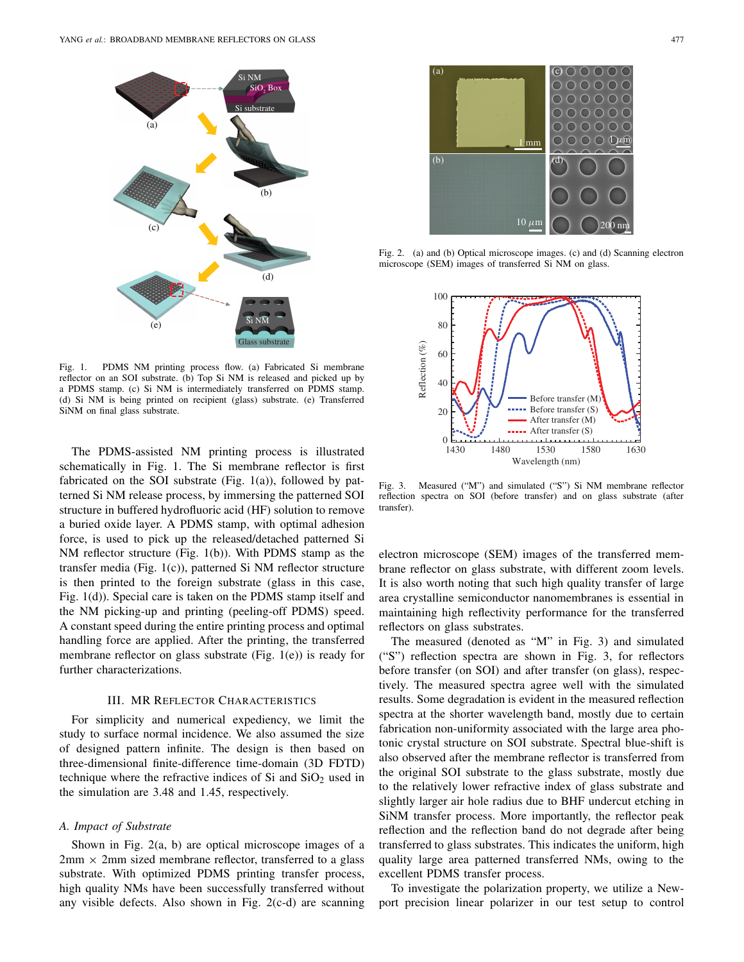

Fig. 1. PDMS NM printing process flow. (a) Fabricated Si membrane reflector on an SOI substrate. (b) Top Si NM is released and picked up by a PDMS stamp. (c) Si NM is intermediately transferred on PDMS stamp. (d) Si NM is being printed on recipient (glass) substrate. (e) Transferred SiNM on final glass substrate.

The PDMS-assisted NM printing process is illustrated schematically in Fig. 1. The Si membrane reflector is first fabricated on the SOI substrate (Fig.  $1(a)$ ), followed by patterned Si NM release process, by immersing the patterned SOI structure in buffered hydrofluoric acid (HF) solution to remove a buried oxide layer. A PDMS stamp, with optimal adhesion force, is used to pick up the released/detached patterned Si NM reflector structure (Fig. 1(b)). With PDMS stamp as the transfer media (Fig. 1(c)), patterned Si NM reflector structure is then printed to the foreign substrate (glass in this case, Fig. 1(d)). Special care is taken on the PDMS stamp itself and the NM picking-up and printing (peeling-off PDMS) speed. A constant speed during the entire printing process and optimal handling force are applied. After the printing, the transferred membrane reflector on glass substrate (Fig. 1(e)) is ready for further characterizations.

### III. MR REFLECTOR CHARACTERISTICS

For simplicity and numerical expediency, we limit the study to surface normal incidence. We also assumed the size of designed pattern infinite. The design is then based on three-dimensional finite-difference time-domain (3D FDTD) technique where the refractive indices of Si and  $SiO<sub>2</sub>$  used in the simulation are 3.48 and 1.45, respectively.

#### *A. Impact of Substrate*

Shown in Fig. 2(a, b) are optical microscope images of a  $2mm \times 2mm$  sized membrane reflector, transferred to a glass substrate. With optimized PDMS printing transfer process, high quality NMs have been successfully transferred without any visible defects. Also shown in Fig. 2(c-d) are scanning



Fig. 2. (a) and (b) Optical microscope images. (c) and (d) Scanning electron microscope (SEM) images of transferred Si NM on glass.



Fig. 3. Measured ("M") and simulated ("S") Si NM membrane reflector reflection spectra on SOI (before transfer) and on glass substrate (after transfer).

electron microscope (SEM) images of the transferred membrane reflector on glass substrate, with different zoom levels. It is also worth noting that such high quality transfer of large area crystalline semiconductor nanomembranes is essential in maintaining high reflectivity performance for the transferred reflectors on glass substrates.

The measured (denoted as "M" in Fig. 3) and simulated ("S") reflection spectra are shown in Fig. 3, for reflectors before transfer (on SOI) and after transfer (on glass), respectively. The measured spectra agree well with the simulated results. Some degradation is evident in the measured reflection spectra at the shorter wavelength band, mostly due to certain fabrication non-uniformity associated with the large area photonic crystal structure on SOI substrate. Spectral blue-shift is also observed after the membrane reflector is transferred from the original SOI substrate to the glass substrate, mostly due to the relatively lower refractive index of glass substrate and slightly larger air hole radius due to BHF undercut etching in SiNM transfer process. More importantly, the reflector peak reflection and the reflection band do not degrade after being transferred to glass substrates. This indicates the uniform, high quality large area patterned transferred NMs, owing to the excellent PDMS transfer process.

To investigate the polarization property, we utilize a Newport precision linear polarizer in our test setup to control